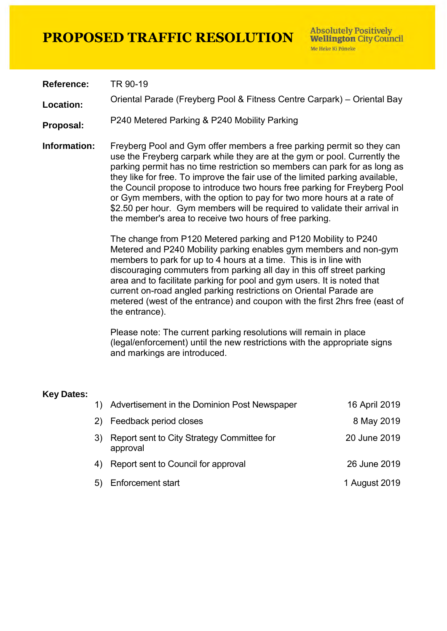**Reference:** TR 90-19

**Location:** Oriental Parade (Freyberg Pool & Fitness Centre Carpark) – Oriental Bay

**Proposal:** P240 Metered Parking & P240 Mobility Parking

**Information:** Freyberg Pool and Gym offer members a free parking permit so they can use the Freyberg carpark while they are at the gym or pool. Currently the parking permit has no time restriction so members can park for as long as they like for free. To improve the fair use of the limited parking available, the Council propose to introduce two hours free parking for Freyberg Pool or Gym members, with the option to pay for two more hours at a rate of \$2.50 per hour. Gym members will be required to validate their arrival in the member's area to receive two hours of free parking.

> The change from P120 Metered parking and P120 Mobility to P240 Metered and P240 Mobility parking enables gym members and non-gym members to park for up to 4 hours at a time. This is in line with discouraging commuters from parking all day in this off street parking area and to facilitate parking for pool and gym users. It is noted that current on-road angled parking restrictions on Oriental Parade are metered (west of the entrance) and coupon with the first 2hrs free (east of the entrance).

Please note: The current parking resolutions will remain in place (legal/enforcement) until the new restrictions with the appropriate signs and markings are introduced.

#### **Key Dates:**

| $\left( \begin{matrix} 1 \end{matrix} \right)$ | Advertisement in the Dominion Post Newspaper           | 16 April 2019 |
|------------------------------------------------|--------------------------------------------------------|---------------|
| 2)                                             | Feedback period closes                                 | 8 May 2019    |
| 3)                                             | Report sent to City Strategy Committee for<br>approval | 20 June 2019  |
| 4)                                             | Report sent to Council for approval                    | 26 June 2019  |
| 5)                                             | <b>Enforcement start</b>                               | 1 August 2019 |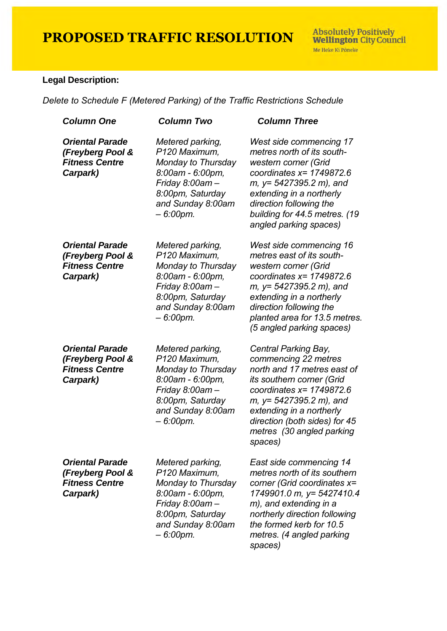**Absolutely Positively<br>Wellington City Council** Me Heke Ki Põneke

### **Legal Description:**

*Delete to Schedule F (Metered Parking) of the Traffic Restrictions Schedule* 

| <b>Column One</b>                                                               | <b>Column Two</b>                                                                                                                                   | <b>Column Three</b>                                                                                                                                                                                                                                                     |
|---------------------------------------------------------------------------------|-----------------------------------------------------------------------------------------------------------------------------------------------------|-------------------------------------------------------------------------------------------------------------------------------------------------------------------------------------------------------------------------------------------------------------------------|
| <b>Oriental Parade</b><br>(Freyberg Pool &<br><b>Fitness Centre</b><br>Carpark) | Metered parking,<br>P120 Maximum,<br>Monday to Thursday<br>8:00am - 6:00pm,<br>Friday 8:00am-<br>8:00pm, Saturday<br>and Sunday 8:00am<br>- 6:00pm. | West side commencing 17<br>metres north of its south-<br>western corner (Grid<br>coordinates $x = 1749872.6$<br>m, y= 5427395.2 m), and<br>extending in a northerly<br>direction following the<br>building for 44.5 metres. (19<br>angled parking spaces)               |
| <b>Oriental Parade</b><br>(Freyberg Pool &<br><b>Fitness Centre</b><br>Carpark) | Metered parking,<br>P120 Maximum,<br>Monday to Thursday<br>8:00am - 6:00pm,<br>Friday 8:00am-<br>8:00pm, Saturday<br>and Sunday 8:00am<br>- 6:00pm. | West side commencing 16<br>metres east of its south-<br>western corner (Grid<br>coordinates $x = 1749872.6$<br>m, y= 5427395.2 m), and<br>extending in a northerly<br>direction following the<br>planted area for 13.5 metres.<br>(5 angled parking spaces)             |
| <b>Oriental Parade</b><br>(Freyberg Pool &<br><b>Fitness Centre</b><br>Carpark) | Metered parking,<br>P120 Maximum,<br>Monday to Thursday<br>8:00am - 6:00pm,<br>Friday 8:00am-<br>8:00pm, Saturday<br>and Sunday 8:00am<br>- 6:00pm. | Central Parking Bay,<br>commencing 22 metres<br>north and 17 metres east of<br>its southern corner (Grid<br>coordinates $x = 1749872.6$<br>m, y= 5427395.2 m), and<br>extending in a northerly<br>direction (both sides) for 45<br>metres (30 angled parking<br>spaces) |
| <b>Oriental Parade</b><br>(Freyberg Pool &<br><b>Fitness Centre</b><br>Carpark) | Metered parking,<br>P120 Maximum,<br>Monday to Thursday<br>8:00am - 6:00pm,<br>Friday 8:00am-<br>8:00pm, Saturday<br>and Sunday 8:00am<br>- 6:00pm. | East side commencing 14<br>metres north of its southern<br>corner (Grid coordinates x=<br>1749901.0 m, y= 5427410.4<br>m), and extending in a<br>northerly direction following<br>the formed kerb for 10.5<br>metres. (4 angled parking<br>spaces)                      |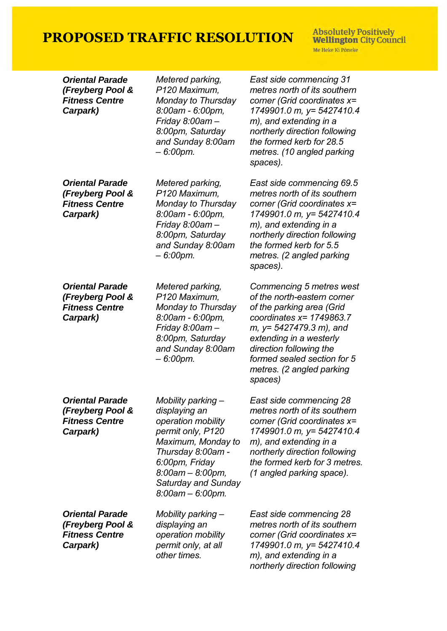**Absolutely Positively<br>Wellington City Council** Me Heke Ki Pôneke

| <b>Oriental Parade</b><br>(Freyberg Pool &<br><b>Fitness Centre</b><br>Carpark) | Metered parking,<br>P120 Maximum,<br>Monday to Thursday<br>8:00am - 6:00pm,<br>Friday 8:00am-<br>8:00pm, Saturday<br>and Sunday 8:00am<br>- 6:00pm.                                                                     | East side commencing 31<br>metres north of its southern<br>corner (Grid coordinates x=<br>1749901.0 m, y= 5427410.4<br>m), and extending in a<br>northerly direction following<br>the formed kerb for 28.5<br>metres. (10 angled parking<br>spaces).                        |
|---------------------------------------------------------------------------------|-------------------------------------------------------------------------------------------------------------------------------------------------------------------------------------------------------------------------|-----------------------------------------------------------------------------------------------------------------------------------------------------------------------------------------------------------------------------------------------------------------------------|
| <b>Oriental Parade</b><br>(Freyberg Pool &<br><b>Fitness Centre</b><br>Carpark) | Metered parking,<br>P120 Maximum,<br>Monday to Thursday<br>8:00am - 6:00pm,<br>Friday 8:00am-<br>8:00pm, Saturday<br>and Sunday 8:00am<br>- 6:00pm.                                                                     | East side commencing 69.5<br>metres north of its southern<br>corner (Grid coordinates x=<br>1749901.0 m, y= 5427410.4<br>m), and extending in a<br>northerly direction following<br>the formed kerb for 5.5<br>metres. (2 angled parking<br>spaces).                        |
| <b>Oriental Parade</b><br>(Freyberg Pool &<br><b>Fitness Centre</b><br>Carpark) | Metered parking,<br>P120 Maximum,<br>Monday to Thursday<br>8:00am - 6:00pm,<br>Friday 8:00am-<br>8:00pm, Saturday<br>and Sunday 8:00am<br>- 6:00pm.                                                                     | Commencing 5 metres west<br>of the north-eastern corner<br>of the parking area (Grid<br>coordinates $x = 1749863.7$<br>m, y= 5427479.3 m), and<br>extending in a westerly<br>direction following the<br>formed sealed section for 5<br>metres. (2 angled parking<br>spaces) |
| <b>Oriental Parade</b><br>(Freyberg Pool &<br><b>Fitness Centre</b><br>Carpark) | Mobility parking -<br>displaying an<br>operation mobility<br>permit only, P120<br>Maximum, Monday to<br>Thursday 8:00am -<br>6:00pm, Friday<br>$8.00$ am $- 8.00$ pm,<br><b>Saturday and Sunday</b><br>8:00am - 6:00pm. | East side commencing 28<br>metres north of its southern<br>corner (Grid coordinates x=<br>1749901.0 m, y= 5427410.4<br>m), and extending in a<br>northerly direction following<br>the formed kerb for 3 metres.<br>(1 angled parking space).                                |
| <b>Oriental Parade</b><br>(Freyberg Pool &<br><b>Fitness Centre</b><br>Carpark) | Mobility parking –<br>displaying an<br>operation mobility<br>permit only, at all<br>other times.                                                                                                                        | East side commencing 28<br>metres north of its southern<br>corner (Grid coordinates x=<br>1749901.0 m, y= 5427410.4<br>m), and extending in a<br>northerly direction following                                                                                              |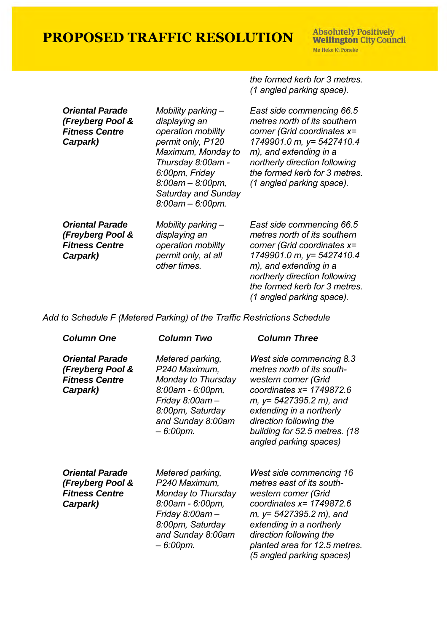*the formed kerb for 3 metres. (1 angled parking space).*

| <b>Oriental Parade</b><br>(Freyberg Pool &<br><b>Fitness Centre</b><br>Carpark) | Mobility parking –<br>displaying an<br>operation mobility<br>permit only, P120<br>Maximum, Monday to<br>Thursday 8:00am -<br>6:00pm, Friday<br>$8.00$ am $- 8.00$ pm,<br>Saturday and Sunday<br>$8.00$ am $- 6.00$ pm. | East side commencing 66.5<br>metres north of its southern<br>corner (Grid coordinates x=<br>1749901.0 m, y= 5427410.4<br>m), and extending in a<br>northerly direction following<br>the formed kerb for 3 metres.<br>(1 angled parking space). |
|---------------------------------------------------------------------------------|------------------------------------------------------------------------------------------------------------------------------------------------------------------------------------------------------------------------|------------------------------------------------------------------------------------------------------------------------------------------------------------------------------------------------------------------------------------------------|
| <b>Oriental Parade</b><br>(Freyberg Pool &<br><b>Fitness Centre</b><br>Carpark) | Mobility parking –<br>displaying an<br>operation mobility<br>permit only, at all<br>other times.                                                                                                                       | East side commencing 66.5<br>metres north of its southern<br>corner (Grid coordinates x=<br>1749901.0 m, y= 5427410.4<br>m), and extending in a<br>northerly direction following<br>the formed kerb for 3 metres.<br>(1 angled parking space). |

*Add to Schedule F (Metered Parking) of the Traffic Restrictions Schedule* 

| <b>Column One</b>                                                               | Column Two                                                                                                                                                     | <b>Column Three</b>                                                                                                                                                                                                                                            |
|---------------------------------------------------------------------------------|----------------------------------------------------------------------------------------------------------------------------------------------------------------|----------------------------------------------------------------------------------------------------------------------------------------------------------------------------------------------------------------------------------------------------------------|
| <b>Oriental Parade</b><br>(Freyberg Pool &<br><b>Fitness Centre</b><br>Carpark) | Metered parking,<br>P240 Maximum,<br>Monday to Thursday<br>8:00am - 6:00pm,<br>Friday $8.00$ am $-$<br>8:00pm, Saturday<br>and Sunday 8:00am<br>$-6.00$ pm.    | West side commencing 8.3<br>metres north of its south-<br>western corner (Grid<br>coordinates $x = 1749872.6$<br>$m, y = 5427395.2 m$ , and<br>extending in a northerly<br>direction following the<br>building for 52.5 metres. (18<br>angled parking spaces)  |
| <b>Oriental Parade</b><br>(Freyberg Pool &<br><b>Fitness Centre</b><br>Carpark) | Metered parking,<br>P240 Maximum,<br>Monday to Thursday<br>$8.00$ am - 6.00pm,<br>Friday $8.00$ am $-$<br>8:00pm, Saturday<br>and Sunday 8:00am<br>$-6.00$ pm. | West side commencing 16<br>metres east of its south-<br>western corner (Grid<br>coordinates $x = 1749872.6$<br>$m, y = 5427395.2 m$ , and<br>extending in a northerly<br>direction following the<br>planted area for 12.5 metres.<br>(5 angled parking spaces) |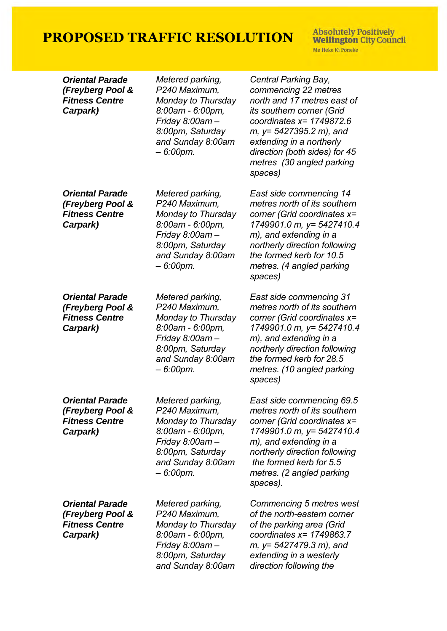**Absolutely Positively<br>Wellington City Council** Me Heke Ki Pôneke

| <b>Oriental Parade</b><br>(Freyberg Pool &<br><b>Fitness Centre</b><br>Carpark) | Metered parking,<br>P240 Maximum,<br>Monday to Thursday<br>8:00am - 6:00pm,<br>Friday 8:00am-<br>8:00pm, Saturday<br>and Sunday 8:00am<br>$-6.00$ pm.  | Central Parking Bay,<br>commencing 22 metres<br>north and 17 metres east of<br><i>its southern corner (Grid</i><br>coordinates $x = 1749872.6$<br>$m, y = 5427395.2 m$ , and<br>extending in a northerly<br>direction (both sides) for 45<br>metres (30 angled parking<br>spaces) |
|---------------------------------------------------------------------------------|--------------------------------------------------------------------------------------------------------------------------------------------------------|-----------------------------------------------------------------------------------------------------------------------------------------------------------------------------------------------------------------------------------------------------------------------------------|
| <b>Oriental Parade</b><br>(Freyberg Pool &<br><b>Fitness Centre</b><br>Carpark) | Metered parking,<br>P240 Maximum,<br>Monday to Thursday<br>8:00am - 6:00pm,<br>Friday 8:00am -<br>8:00pm, Saturday<br>and Sunday 8:00am<br>- 6:00pm.   | East side commencing 14<br>metres north of its southern<br>corner (Grid coordinates x=<br>1749901.0 m, y= 5427410.4<br>m), and extending in a<br>northerly direction following<br>the formed kerb for 10.5<br>metres. (4 angled parking<br>spaces)                                |
| <b>Oriental Parade</b><br>(Freyberg Pool &<br><b>Fitness Centre</b><br>Carpark) | Metered parking,<br>P240 Maximum,<br>Monday to Thursday<br>8:00am - 6:00pm,<br>Friday 8:00am -<br>8:00pm, Saturday<br>and Sunday 8:00am<br>$-6.00$ pm. | East side commencing 31<br>metres north of its southern<br>corner (Grid coordinates x=<br>1749901.0 m, y= 5427410.4<br>m), and extending in a<br>northerly direction following<br>the formed kerb for 28.5<br>metres. (10 angled parking<br>spaces)                               |
| <b>Oriental Parade</b><br>(Freyberg Pool &<br><b>Fitness Centre</b><br>Carpark) | Metered parking,<br>P240 Maximum,<br>Monday to Thursday<br>8:00am - 6:00pm,<br>Friday 8:00am-<br>8:00pm, Saturday<br>and Sunday 8:00am<br>$-6.00$ pm.  | East side commencing 69.5<br>metres north of its southern<br>corner (Grid coordinates x=<br>1749901.0 m, y= 5427410.4<br>m), and extending in a<br>northerly direction following<br>the formed kerb for 5.5<br>metres. (2 angled parking<br>spaces).                              |
| <b>Oriental Parade</b><br>(Freyberg Pool &<br><b>Fitness Centre</b><br>Carpark) | Metered parking,<br>P240 Maximum,<br>Monday to Thursday<br>8:00am - 6:00pm,<br>Friday 8:00am –<br>8:00pm, Saturday<br>and Sunday 8:00am                | Commencing 5 metres west<br>of the north-eastern corner<br>of the parking area (Grid<br>coordinates $x = 1749863.7$<br>$m, y=$ 5427479.3 m), and<br>extending in a westerly<br>direction following the                                                                            |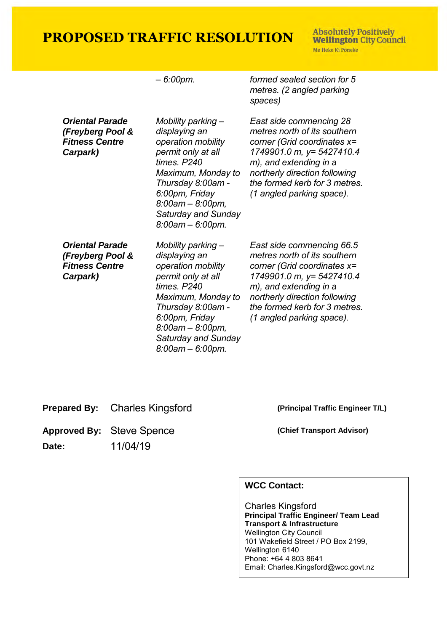**Absolutely Positively Wellington City Council** Me Heke Ki Põneke

|                                                                                 | - 6:00pm.                                                                                                                                                                                                                               | formed sealed section for 5<br>metres. (2 angled parking<br>spaces)                                                                                                                                                                            |
|---------------------------------------------------------------------------------|-----------------------------------------------------------------------------------------------------------------------------------------------------------------------------------------------------------------------------------------|------------------------------------------------------------------------------------------------------------------------------------------------------------------------------------------------------------------------------------------------|
| <b>Oriental Parade</b><br>(Freyberg Pool &<br><b>Fitness Centre</b><br>Carpark) | Mobility parking -<br>displaying an<br>operation mobility<br>permit only at all<br>times. P240<br>Maximum, Monday to<br>Thursday 8:00am -<br>6:00pm, Friday<br>$8.00$ am $- 8.00$ pm,<br><b>Saturday and Sunday</b><br>8:00am - 6:00pm. | East side commencing 28<br>metres north of its southern<br>corner (Grid coordinates x=<br>1749901.0 m, y= 5427410.4<br>m), and extending in a<br>northerly direction following<br>the formed kerb for 3 metres.<br>(1 angled parking space).   |
| <b>Oriental Parade</b><br>(Freyberg Pool &<br><b>Fitness Centre</b><br>Carpark) | Mobility parking -<br>displaying an<br>operation mobility<br>permit only at all<br>times. P240<br>Maximum, Monday to<br>Thursday 8:00am -<br>6:00pm, Friday<br>$8.00$ am $- 8.00$ pm,<br>Saturday and Sunday<br>8:00am - 6:00pm.        | East side commencing 66.5<br>metres north of its southern<br>corner (Grid coordinates x=<br>1749901.0 m, y= 5427410.4<br>m), and extending in a<br>northerly direction following<br>the formed kerb for 3 metres.<br>(1 angled parking space). |

**Prepared By:** Charles Kingsford **(Principal Traffic Engineer T/L)** 

Approved By: Steve Spence **(Chief Transport Advisor)** 

**Date:** 11/04/19

### **WCC Contact:**

Charles Kingsford **Principal Traffic Engineer/ Team Lead Transport & Infrastructure** Wellington City Council 101 Wakefield Street / PO Box 2199, Wellington 6140 Phone: +64 4 803 8641 Email: Charles.Kingsford@wcc.govt.nz